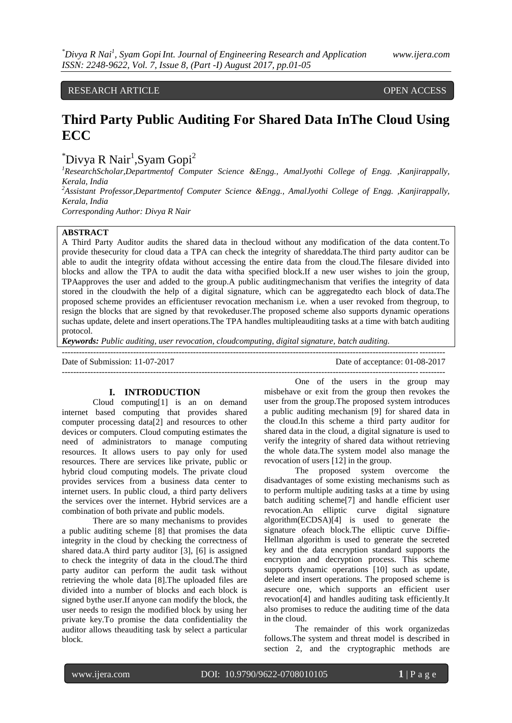RESEARCH ARTICLE **OPEN ACCESS** 

# **Third Party Public Auditing For Shared Data InThe Cloud Using ECC**

 $\mathrm{``Divya} \mathsf{R} \text{ Nair}^1$ , Syam Gopi $\mathrm{^{2}}$ 

*<sup>1</sup>ResearchScholar,Departmentof Computer Science &Engg., AmalJyothi College of Engg. ,Kanjirappally, Kerala, India*

*<sup>2</sup>Assistant Professor,Departmentof Computer Science &Engg., AmalJyothi College of Engg. ,Kanjirappally, Kerala, India*

*Corresponding Author: Divya R Nair*

# **ABSTRACT**

A Third Party Auditor audits the shared data in thecloud without any modification of the data content.To provide thesecurity for cloud data a TPA can check the integrity of shareddata.The third party auditor can be able to audit the integrity ofdata without accessing the entire data from the cloud.The filesare divided into blocks and allow the TPA to audit the data witha specified block.If a new user wishes to join the group, TPAapproves the user and added to the group.A public auditingmechanism that verifies the integrity of data stored in the cloudwith the help of a digital signature, which can be aggregatedto each block of data.The proposed scheme provides an efficientuser revocation mechanism i.e. when a user revoked from thegroup, to resign the blocks that are signed by that revokeduser.The proposed scheme also supports dynamic operations suchas update, delete and insert operations.The TPA handles multipleauditing tasks at a time with batch auditing protocol.

*Keywords: Public auditing, user revocation, cloudcomputing, digital signature, batch auditing.*

| Date of Submission: 11-07-2017 | Date of acceptance: 01-08-2017 |
|--------------------------------|--------------------------------|
|                                |                                |

#### **I. INTRODUCTION**

Cloud computing[1] is an on demand internet based computing that provides shared computer processing data[2] and resources to other devices or computers. Cloud computing estimates the need of administrators to manage computing resources. It allows users to pay only for used resources. There are services like private, public or hybrid cloud computing models. The private cloud provides services from a business data center to internet users. In public cloud, a third party delivers the services over the internet. Hybrid services are a combination of both private and public models.

There are so many mechanisms to provides a public auditing scheme [8] that promises the data integrity in the cloud by checking the correctness of shared data.A third party auditor [3], [6] is assigned to check the integrity of data in the cloud.The third party auditor can perform the audit task without retrieving the whole data [8].The uploaded files are divided into a number of blocks and each block is signed bythe user.If anyone can modify the block, the user needs to resign the modified block by using her private key.To promise the data confidentiality the auditor allows theauditing task by select a particular block.

One of the users in the group may misbehave or exit from the group then revokes the user from the group.The proposed system introduces a public auditing mechanism [9] for shared data in the cloud.In this scheme a third party auditor for shared data in the cloud, a digital signature is used to verify the integrity of shared data without retrieving the whole data.The system model also manage the revocation of users [12] in the group.

The proposed system overcome the disadvantages of some existing mechanisms such as to perform multiple auditing tasks at a time by using batch auditing scheme[7] and handle efficient user revocation.An elliptic curve digital signature algorithm(ECDSA)[4] is used to generate the signature ofeach block.The elliptic curve Diffie-Hellman algorithm is used to generate the secreted key and the data encryption standard supports the encryption and decryption process. This scheme supports dynamic operations [10] such as update, delete and insert operations. The proposed scheme is asecure one, which supports an efficient user revocation[4] and handles auditing task efficiently.It also promises to reduce the auditing time of the data in the cloud.

The remainder of this work organizedas follows.The system and threat model is described in section 2, and the cryptographic methods are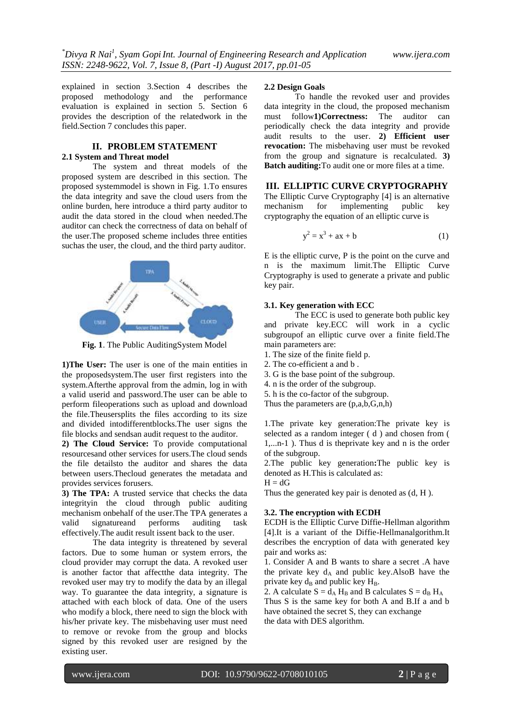explained in section 3.Section 4 describes the proposed methodology and the performance evaluation is explained in section 5. Section 6 provides the description of the relatedwork in the field.Section 7 concludes this paper.

## **II. PROBLEM STATEMENT 2.1 System and Threat model**

The system and threat models of the proposed system are described in this section. The proposed systemmodel is shown in Fig. 1.To ensures the data integrity and save the cloud users from the online burden, here introduce a third party auditor to audit the data stored in the cloud when needed.The auditor can check the correctness of data on behalf of the user.The proposed scheme includes three entities suchas the user, the cloud, and the third party auditor.



**Fig. 1**. The Public AuditingSystem Model

**1)The User:** The user is one of the main entities in the proposedsystem.The user first registers into the system.Afterthe approval from the admin, log in with a valid userid and password.The user can be able to perform fileoperations such as upload and download the file.Theusersplits the files according to its size and divided intodifferentblocks.The user signs the file blocks and sendsan audit request to the auditor.

**2) The Cloud Service:** To provide computational resourcesand other services for users.The cloud sends the file detailsto the auditor and shares the data between users.Thecloud generates the metadata and provides services forusers.

**3) The TPA:** A trusted service that checks the data integrityin the cloud through public auditing mechanism onbehalf of the user.The TPA generates a valid signatureand performs auditing task effectively.The audit result issent back to the user.

The data integrity is threatened by several factors. Due to some human or system errors, the cloud provider may corrupt the data. A revoked user is another factor that affectthe data integrity. The revoked user may try to modify the data by an illegal way. To guarantee the data integrity, a signature is attached with each block of data. One of the users who modify a block, there need to sign the block with his/her private key. The misbehaving user must need to remove or revoke from the group and blocks signed by this revoked user are resigned by the existing user.

## **2.2 Design Goals**

To handle the revoked user and provides data integrity in the cloud, the proposed mechanism must follow**1)Correctness:** The auditor can periodically check the data integrity and provide audit results to the user. **2) Efficient user revocation:** The misbehaving user must be revoked from the group and signature is recalculated. **3) Batch auditing:**To audit one or more files at a time.

# **III. ELLIPTIC CURVE CRYPTOGRAPHY**

The Elliptic Curve Cryptography [4] is an alternative mechanism for implementing public key cryptography the equation of an elliptic curve is

$$
y^2 = x^3 + ax + b \tag{1}
$$

E is the elliptic curve, P is the point on the curve and n is the maximum limit.The Elliptic Curve Cryptography is used to generate a private and public key pair.

## **3.1. Key generation with ECC**

The ECC is used to generate both public key and private key.ECC will work in a cyclic subgroupof an elliptic curve over a finite field.The main parameters are:

- 1. The size of the finite field p.
- 2. The co-efficient a and b .
- 3. G is the base point of the subgroup.
- 4. n is the order of the subgroup.
- 5. h is the co-factor of the subgroup.
- Thus the parameters are (p,a,b,G,n,h)

1.The private key generation:The private key is selected as a random integer ( d ) and chosen from ( 1,...n-1 ). Thus d is theprivate key and n is the order of the subgroup.

2.The public key generation**:**The public key is denoted as H.This is calculated as:

 $H = dG$ 

Thus the generated key pair is denoted as (d, H ).

#### **3.2. The encryption with ECDH**

ECDH is the Elliptic Curve Diffie-Hellman algorithm [4].It is a variant of the Diffie-Hellmanalgorithm.It describes the encryption of data with generated key pair and works as:

1. Consider A and B wants to share a secret .A have the private key  $d_A$  and public key. Also B have the private key  $d_B$  and public key  $H_B$ .

2. A calculate  $S = d_A H_B$  and B calculates  $S = d_B H_A$ Thus S is the same key for both A and B.If a and b have obtained the secret S, they can exchange the data with DES algorithm.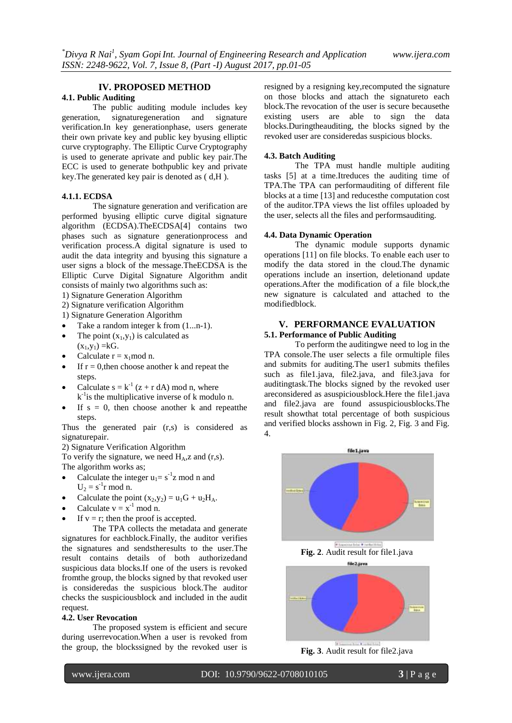# **IV. PROPOSED METHOD**

# **4.1. Public Auditing**

The public auditing module includes key generation, signaturegeneration and signature verification.In key generationphase, users generate their own private key and public key byusing elliptic curve cryptography. The Elliptic Curve Cryptography is used to generate aprivate and public key pair.The ECC is used to generate bothpublic key and private key.The generated key pair is denoted as ( d,H ).

#### **4.1.1. ECDSA**

The signature generation and verification are performed byusing elliptic curve digital signature algorithm (ECDSA).TheECDSA[4] contains two phases such as signature generationprocess and verification process.A digital signature is used to audit the data integrity and byusing this signature a user signs a block of the message.TheECDSA is the Elliptic Curve Digital Signature Algorithm andit consists of mainly two algorithms such as:

1) Signature Generation Algorithm

- 2) Signature verification Algorithm
- 1) Signature Generation Algorithm
- Take a random integer k from (1...n-1).
- The point  $(x_1,y_1)$  is calculated as  $(x_1,y_1) = kG.$
- Calculate  $r = x_1 \mod n$ .
- If  $r = 0$ , then choose another k and repeat the steps.
- Calculate  $s = k^{-1} (z + r dA) \text{ mod } n$ , where  $k^{-1}$  is the multiplicative inverse of k modulo n.
- If  $s = 0$ , then choose another k and repeatthe steps.

Thus the generated pair (r,s) is considered as signaturepair.

## 2) Signature Verification Algorithm

To verify the signature, we need  $H_A$ , z and (r,s). The algorithm works as;

- Calculate the integer  $u_1 = s^{-1}z$  mod n and  $U_2 = s^{-1}r \mod n$ .
- Calculate the point  $(x_2,y_2) = u_1G + u_2H_A$ .
- Calculate  $v = x^{-1} \mod n$ .
- If  $v = r$ ; then the proof is accepted.

The TPA collects the metadata and generate signatures for eachblock.Finally, the auditor verifies the signatures and sendstheresults to the user.The result contains details of both authorizedand suspicious data blocks.If one of the users is revoked fromthe group, the blocks signed by that revoked user is consideredas the suspicious block.The auditor checks the suspiciousblock and included in the audit request.

#### **4.2. User Revocation**

The proposed system is efficient and secure during userrevocation.When a user is revoked from the group, the blockssigned by the revoked user is

resigned by a resigning key,recomputed the signature on those blocks and attach the signatureto each block.The revocation of the user is secure becausethe existing users are able to sign the data blocks.Duringtheauditing, the blocks signed by the revoked user are consideredas suspicious blocks.

#### **4.3. Batch Auditing**

The TPA must handle multiple auditing tasks [5] at a time.Itreduces the auditing time of TPA.The TPA can performauditing of different file blocks at a time [13] and reducesthe computation cost of the auditor.TPA views the list offiles uploaded by the user, selects all the files and performsauditing.

#### **4.4. Data Dynamic Operation**

The dynamic module supports dynamic operations [11] on file blocks. To enable each user to modify the data stored in the cloud.The dynamic operations include an insertion, deletionand update operations.After the modification of a file block,the new signature is calculated and attached to the modifiedblock.

# **V. PERFORMANCE EVALUATION**

## **5.1. Performance of Public Auditing**

To perform the auditingwe need to log in the TPA console.The user selects a file ormultiple files and submits for auditing. The user1 submits the files such as file1.java, file2.java, and file3.java for auditingtask.The blocks signed by the revoked user areconsidered as asuspiciousblock.Here the file1.java and file2.java are found assuspiciousblocks.The result showthat total percentage of both suspicious and verified blocks asshown in Fig. 2, Fig. 3 and Fig. 4.



**Fig. 3**. Audit result for file2.java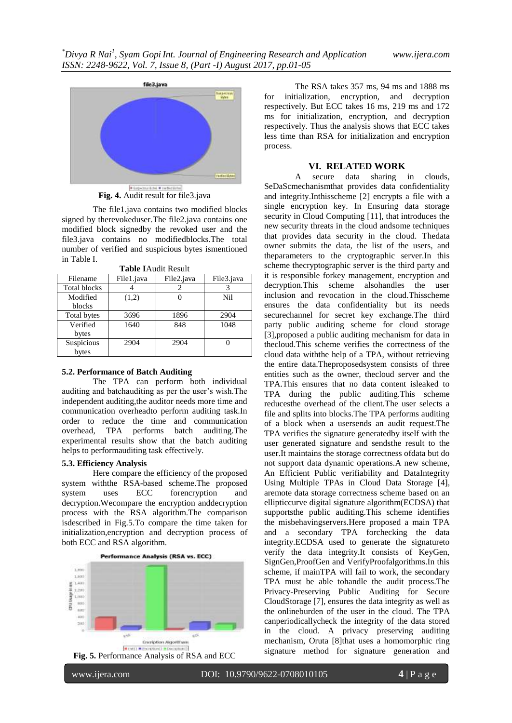

**Fig. 4.** Audit result for file3.java

The file1.java contains two modified blocks signed by therevokeduser.The file2.java contains one modified block signedby the revoked user and the file3.java contains no modifiedblocks.The total number of verified and suspicious bytes ismentioned in Table I.

| Filename            | File1.java | File2.java | File3.java |
|---------------------|------------|------------|------------|
| <b>Total blocks</b> |            |            |            |
| Modified            | (1,2)      |            | Nil        |
| blocks              |            |            |            |
| Total bytes         | 3696       | 1896       | 2904       |
| Verified            | 1640       | 848        | 1048       |
| bytes               |            |            |            |
| Suspicious          | 2904       | 2904       |            |
| bytes               |            |            |            |

**Table I**Audit Result

#### **5.2. Performance of Batch Auditing**

The TPA can perform both individual auditing and batchauditing as per the user's wish.The independent auditing,the auditor needs more time and communication overheadto perform auditing task.In order to reduce the time and communication overhead, TPA performs batch auditing.The experimental results show that the batch auditing helps to performauditing task effectively.

## **5.3. Efficiency Analysis**

Here compare the efficiency of the proposed system withthe RSA-based scheme.The proposed system uses ECC forencryption and decryption.Wecompare the encryption anddecryption process with the RSA algorithm.The comparison isdescribed in Fig.5.To compare the time taken for initialization,encryption and decryption process of both ECC and RSA algorithm.



**Fig. 5.** Performance Analysis of RSA and ECC

The RSA takes 357 ms, 94 ms and 1888 ms for initialization, encryption, and decryption respectively. But ECC takes 16 ms, 219 ms and 172 ms for initialization, encryption, and decryption respectively. Thus the analysis shows that ECC takes less time than RSA for initialization and encryption process.

#### **VI. RELATED WORK**

A secure data sharing in clouds, SeDaScmechanismthat provides data confidentiality and integrity.Inthisscheme [2] encrypts a file with a single encryption key. In Ensuring data storage security in Cloud Computing [11], that introduces the new security threats in the cloud andsome techniques that provides data security in the cloud. Thedata owner submits the data, the list of the users, and theparameters to the cryptographic server.In this scheme thecryptographic server is the third party and it is responsible forkey management, encryption and decryption.This scheme alsohandles the user inclusion and revocation in the cloud.Thisscheme ensures the data confidentiality but its needs securechannel for secret key exchange.The third party public auditing scheme for cloud storage [3],proposed a public auditing mechanism for data in thecloud.This scheme verifies the correctness of the cloud data withthe help of a TPA, without retrieving the entire data.Theproposedsystem consists of three entities such as the owner, thecloud server and the TPA.This ensures that no data content isleaked to TPA during the public auditing.This scheme reducesthe overhead of the client.The user selects a file and splits into blocks.The TPA performs auditing of a block when a usersends an audit request.The TPA verifies the signature generatedby itself with the user generated signature and sendsthe result to the user.It maintains the storage correctness ofdata but do not support data dynamic operations.A new scheme, An Efficient Public verifiability and DataIntegrity Using Multiple TPAs in Cloud Data Storage [4], aremote data storage correctness scheme based on an ellipticcurve digital signature algorithm(ECDSA) that supportsthe public auditing.This scheme identifies the misbehavingservers.Here proposed a main TPA and a secondary TPA forchecking the data integrity.ECDSA used to generate the signatureto verify the data integrity.It consists of KeyGen, SignGen,ProofGen and VerifyProofalgorithms.In this scheme, if mainTPA will fail to work, the secondary TPA must be able tohandle the audit process.The Privacy-Preserving Public Auditing for Secure CloudStorage [7], ensures the data integrity as well as the onlineburden of the user in the cloud. The TPA canperiodicallycheck the integrity of the data stored in the cloud. A privacy preserving auditing mechanism, Oruta [8]that uses a homomorphic ring signature method for signature generation and